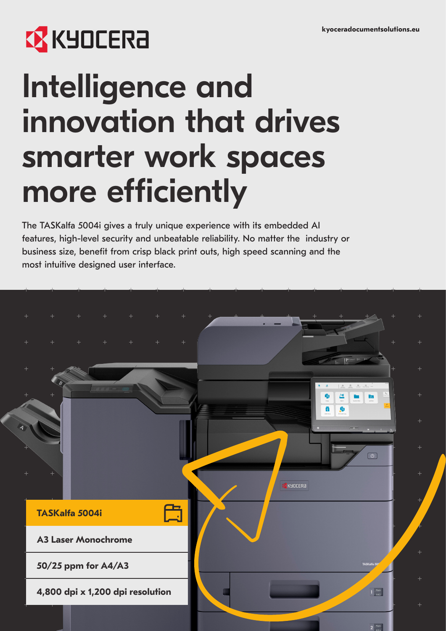# **EX KYOCERA**

# Intelligence and innovation that drives smarter work spaces more efficiently

The TASKalfa 5004i gives a truly unique experience with its embedded AI features, high-level security and unbeatable reliability. No matter the industry or business size, benefit from crisp black print outs, high speed scanning and the most intuitive designed user interface.